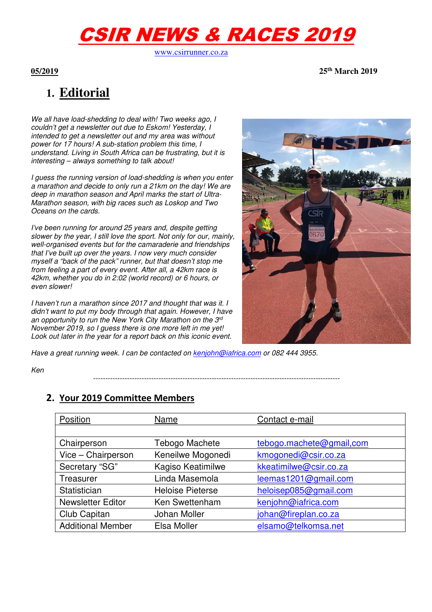# CSIR NEWS & RACES 2019

www.csirrunner.co.za

**05/2019 25th March 2019** 

## **1. Editorial**

*We all have load-shedding to deal with! Two weeks ago, I couldn't get a newsletter out due to Eskom! Yesterday, I intended to get a newsletter out and my area was without power for 17 hours! A sub-station problem this time, I understand. Living in South Africa can be frustrating, but it is interesting – always something to talk about!* 

*I guess the running version of load-shedding is when you enter a marathon and decide to only run a 21km on the day! We are deep in marathon season and April marks the start of Ultra-Marathon season, with big races such as Loskop and Two Oceans on the cards.* 

*I've been running for around 25 years and, despite getting slower by the year, I still love the sport. Not only for our, mainly, well-organised events but for the camaraderie and friendships that I've built up over the years. I now very much consider myself a "back of the pack" runner, but that doesn't stop me from feeling a part of every event. After all, a 42km race is 42km, whether you do in 2:02 (world record) or 6 hours, or even slower!* 

*I haven't run a marathon since 2017 and thought that was it. I didn't want to put my body through that again. However, I have an opportunity to run the New York City Marathon on the 3rd November 2019, so I guess there is one more left in me yet! Look out later in the year for a report back on this iconic event.* 



*Have a great running week. I can be contacted on kenjohn@iafrica.com or 082 444 3955.* 

*Ken* 

#### **2. Your 2019 Committee Members**

| Position                 | Name                    | Contact e-mail           |
|--------------------------|-------------------------|--------------------------|
|                          |                         |                          |
| Chairperson              | Tebogo Machete          | tebogo.machete@gmail.com |
| Vice - Chairperson       | Keneilwe Mogonedi       | kmogonedi@csir.co.za     |
| Secretary "SG"           | Kagiso Keatimilwe       | kkeatimilwe@csir.co.za   |
| Treasurer                | Linda Masemola          | leemas1201@gmail.com     |
| Statistician             | <b>Heloise Pieterse</b> | heloisep085@gmail.com    |
| <b>Newsletter Editor</b> | Ken Swettenham          | kenjohn@iafrica.com      |
| Club Capitan             | <b>Johan Moller</b>     | johan@fireplan.co.za     |
| <b>Additional Member</b> | Elsa Moller             | elsamo@telkomsa.net      |

*------------------------------------------------------------------------------------------------------*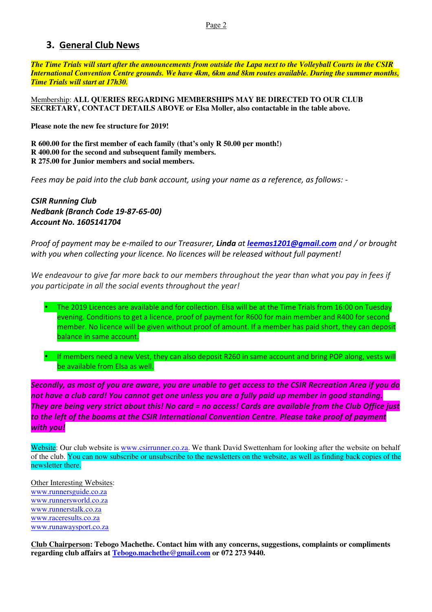#### **3. General Club News**

*The Time Trials will start after the announcements from outside the Lapa next to the Volleyball Courts in the CSIR International Convention Centre grounds. We have 4km, 6km and 8km routes available. During the summer months, Time Trials will start at 17h30.*

Membership: **ALL QUERIES REGARDING MEMBERSHIPS MAY BE DIRECTED TO OUR CLUB SECRETARY, CONTACT DETAILS ABOVE or Elsa Moller, also contactable in the table above.** 

**Please note the new fee structure for 2019!** 

**R 600.00 for the first member of each family (that's only R 50.00 per month!) R 400.00 for the second and subsequent family members. R 275.00 for Junior members and social members.** 

*Fees may be paid into the club bank account, using your name as a reference, as follows: -* 

*CSIR Running Club Nedbank (Branch Code 19-87-65-00) Account No. 1605141704* 

*Proof of payment may be e-mailed to our Treasurer, Linda at leemas1201@gmail.com and / or brought with you when collecting your licence. No licences will be released without full payment!* 

*We endeavour to give far more back to our members throughout the year than what you pay in fees if you participate in all the social events throughout the year!* 



• If members need a new Vest, they can also deposit R260 in same account and bring POP along, vests will be available from Elsa as well.

*Secondly, as most of you are aware, you are unable to get access to the CSIR Recreation Area if you do not have a club card! You cannot get one unless you are a fully paid up member in good standing. They are being very strict about this! No card = no access! Cards are available from the Club Office just to the left of the booms at the CSIR International Convention Centre. Please take proof of payment with you!* 

Website: Our club website is www.csirrunner.co.za. We thank David Swettenham for looking after the website on behalf of the club. You can now subscribe or unsubscribe to the newsletters on the website, as well as finding back copies of the newsletter there.

Other Interesting Websites: www.runnersguide.co.za www.runnersworld.co.za www.runnerstalk.co.za www.raceresults.co.za www.runawaysport.co.za

**Club Chairperson: Tebogo Machethe. Contact him with any concerns, suggestions, complaints or compliments regarding club affairs at Tebogo.machethe@gmail.com or 072 273 9440.**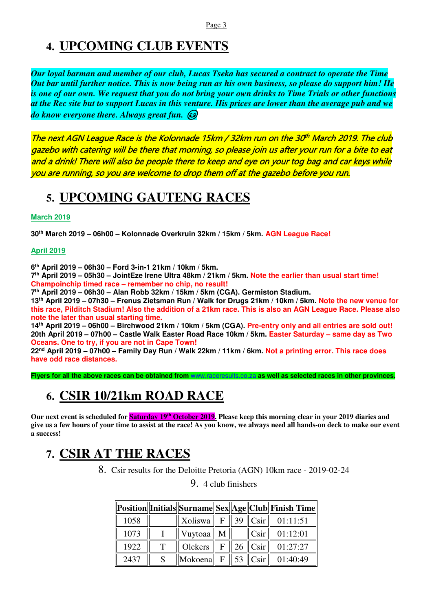### **4. UPCOMING CLUB EVENTS**

*Our loyal barman and member of our club, Lucas Tseka has secured a contract to operate the Time Out bar until further notice. This is now being run as his own business, so please do support him! He is one of our own. We request that you do not bring your own drinks to Time Trials or other functions at the Rec site but to support Lucas in this venture. His prices are lower than the average pub and we do know everyone there. Always great fun.* 

The next AGN League Race is the Kolonnade 15km / 32km run on the 30<sup>th</sup> March 2019. The club gazebo with catering will be there that morning, so please join us after your run for a bite to eat and a drink! There will also be people there to keep and eye on your tog bag and car keys while you are running, so you are welcome to drop them off at the gazebo before you run.

### **5. UPCOMING GAUTENG RACES**

#### **March 2019**

**30th March 2019 – 06h00 – Kolonnade Overkruin 32km / 15km / 5km. AGN League Race!** 

#### **April 2019**

**6 th April 2019 – 06h30 – Ford 3-in-1 21km / 10km / 5km.** 

**7 th April 2019 – 05h30 – JointEze Irene Ultra 48km / 21km / 5km. Note the earlier than usual start time! Champoinchip timed race – remember no chip, no result!** 

**7 th April 2019 – 06h30 – Alan Robb 32km / 15km / 5km (CGA). Germiston Stadium.** 

**13th April 2019 – 07h30 – Frenus Zietsman Run / Walk for Drugs 21km / 10km / 5km. Note the new venue for this race, Pilditch Stadium! Also the addition of a 21km race. This is also an AGN League Race. Please also note the later than usual starting time.** 

**14th April 2019 – 06h00 – Birchwood 21km / 10km / 5km (CGA). Pre-entry only and all entries are sold out! 20th April 2019 – 07h00 – Castle Walk Easter Road Race 10km / 5km. Easter Saturday – same day as Two Oceans. One to try, if you are not in Cape Town!** 

**22nd April 2019 – 07h00 – Family Day Run / Walk 22km / 11km / 6km. Not a printing error. This race does have odd race distances.** 

**Flyers for all the above races can be obtained from** www.raceresults.co.za **as well as selected races in other provinces.** 

### **6. CSIR 10/21km ROAD RACE**

Our next event is scheduled for **Saturday 19<sup>th</sup> October 2019**. Please keep this morning clear in your 2019 diaries and **give us a few hours of your time to assist at the race! As you know, we always need all hands-on deck to make our event a success!** 

### **7. CSIR AT THE RACES**

8. Csir results for the Deloitte Pretoria (AGN) 10km race - 2019-02-24

9. 4 club finishers

|      |                                                           |                |                                             | Position  Initials  Surname  Sex  Age  Club  Finish Time |
|------|-----------------------------------------------------------|----------------|---------------------------------------------|----------------------------------------------------------|
| 1058 | Xoliswa $\parallel$ F                                     |                | $\parallel$ 39 $\parallel$ Csir $\parallel$ | 01:11:51                                                 |
| 1073 | Vuytoaa $\parallel$ M                                     |                | Csir                                        | 01:12:01                                                 |
| 1922 | Olckers                                                   | $\mathbf{F}$ . | $26$ Csir                                   | 01:27:27                                                 |
| 2437 | $\Vert$ Mokoena $\Vert$ F $\Vert$ 53 $\Vert$ Csir $\Vert$ |                |                                             | 01:40:49                                                 |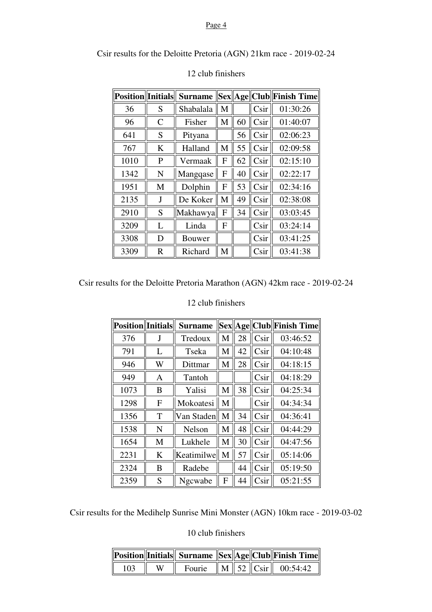#### Page 4

Csir results for the Deloitte Pretoria (AGN) 21km race - 2019-02-24

| <b>Position</b> Initials |                | <b>Surname</b> |   |    |      | Sex  Age  Club  Finish Time |
|--------------------------|----------------|----------------|---|----|------|-----------------------------|
| 36                       | S              | Shabalala      | M |    | Csir | 01:30:26                    |
| 96                       | $\overline{C}$ | Fisher         | M | 60 | Csir | 01:40:07                    |
| 641                      | S              | Pityana        |   | 56 | Csir | 02:06:23                    |
| 767                      | K              | Halland        | M | 55 | Csir | 02:09:58                    |
| 1010                     | P              | Vermaak        | F | 62 | Csir | 02:15:10                    |
| 1342                     | N              | Mangqase       | F | 40 | Csir | 02:22:17                    |
| 1951                     | M              | Dolphin        | F | 53 | Csir | 02:34:16                    |
| 2135                     | J              | De Koker       | М | 49 | Csir | 02:38:08                    |
| 2910                     | S              | Makhawya       | F | 34 | Csir | 03:03:45                    |
| 3209                     | L              | Linda          | F |    | Csir | 03:24:14                    |
| 3308                     | D              | Bouwer         |   |    | Csir | 03:41:25                    |
| 3309                     | $\mathbf R$    | Richard        | M |    | Csir | 03:41:38                    |

#### 12 club finishers

Csir results for the Deloitte Pretoria Marathon (AGN) 42km race - 2019-02-24

#### 12 club finishers

| <b>Position Initials</b> |   | <b>Surname</b> |   |    |      | Sex  Age  Club  Finish Time |
|--------------------------|---|----------------|---|----|------|-----------------------------|
| 376                      | J | Tredoux        | M | 28 | Csir | 03:46:52                    |
| 791                      | L | Tseka          | M | 42 | Csir | 04:10:48                    |
| 946                      | W | Dittmar        | M | 28 | Csir | 04:18:15                    |
| 949                      | A | Tantoh         |   |    | Csir | 04:18:29                    |
| 1073                     | B | Yalisi         | M | 38 | Csir | 04:25:34                    |
| 1298                     | F | Mokoatesi      | M |    | Csir | 04:34:34                    |
| 1356                     | T | Van Staden     | M | 34 | Csir | 04:36:41                    |
| 1538                     | N | <b>Nelson</b>  | M | 48 | Csir | 04:44:29                    |
| 1654                     | M | Lukhele        | M | 30 | Csir | 04:47:56                    |
| 2231                     | K | Keatimilwe     | M | 57 | Csir | 05:14:06                    |
| 2324                     | B | Radebe         |   | 44 | Csir | 05:19:50                    |
| 2359                     | S | Ngcwabe        | F | 44 | Csir | 05:21:55                    |

Csir results for the Medihelp Sunrise Mini Monster (AGN) 10km race - 2019-03-02

10 club finishers

|     |   |  |  | Position  Initials   Surname   Sex  Age  Club  Finish Time |
|-----|---|--|--|------------------------------------------------------------|
| 103 | W |  |  | Fourie $\ M\ $ 52 $\ C\sin\ $ 00:54:42                     |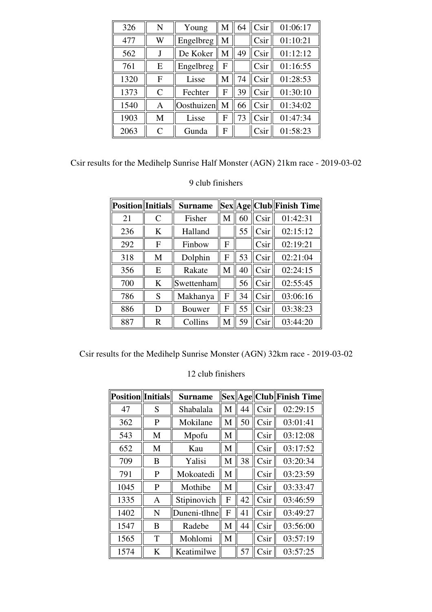| 326  | N            | Young      | M | 64 | Csir | 01:06:17 |
|------|--------------|------------|---|----|------|----------|
| 477  | W            | Engelbreg  | M |    | Csir | 01:10:21 |
| 562  |              | De Koker   | M | 49 | Csir | 01:12:12 |
| 761  | E            | Engelbreg  | F |    | Csir | 01:16:55 |
| 1320 | F            | Lisse      | M | 74 | Csir | 01:28:53 |
| 1373 | $\mathsf{C}$ | Fechter    | F | 39 | Csir | 01:30:10 |
| 1540 | A            | Oosthuizen | M | 66 | Csir | 01:34:02 |
| 1903 | M            | Lisse      | F | 73 | Csir | 01:47:34 |
| 2063 | $\subset$    | Gunda      | F |    | Csir | 01:58:23 |

| Csir results for the Medihelp Sunrise Half Monster (AGN) 21km race - 2019-03-02 |
|---------------------------------------------------------------------------------|
|---------------------------------------------------------------------------------|

9 club finishers

| <b>Position</b><br>Initials |                         | <b>Surname</b> |   |    |                 | Sex  Age  Club  Finish Time |
|-----------------------------|-------------------------|----------------|---|----|-----------------|-----------------------------|
| 21                          | $\mathcal{C}$           | Fisher         | M | 60 | Csir            | 01:42:31                    |
| 236                         | K                       | Halland        |   | 55 | Csir            | 02:15:12                    |
| 292                         | F                       | Finbow         | F |    | Csir            | 02:19:21                    |
| 318                         | M                       | Dolphin        | F | 53 | Csir            | 02:21:04                    |
| 356                         | E                       | Rakate         | M | 40 | Csir            | 02:24:15                    |
| 700                         | K                       | Swettenham     |   | 56 | Csir            | 02:55:45                    |
| 786                         | S                       | Makhanya       | F | 34 | Csir            | 03:06:16                    |
| 886                         | D                       | Bouwer         | F | 55 | C <sub>Si</sub> | 03:38:23                    |
| 887                         | $\overline{\mathrm{R}}$ | Collins        | M | 59 | Csir            | 03:44:20                    |

Csir results for the Medihelp Sunrise Monster (AGN) 32km race - 2019-03-02

| <b>Position</b> Initials |   | <b>Surname</b> |   |    |                 | Sex  Age  Club  Finish Time |
|--------------------------|---|----------------|---|----|-----------------|-----------------------------|
| 47                       | S | Shabalala      | M | 44 | Csir            | 02:29:15                    |
| 362                      | P | Mokilane       | M | 50 | Csir            | 03:01:41                    |
| 543                      | M | Mpofu          | M |    | Csir            | 03:12:08                    |
| 652                      | M | Kau            | M |    | C <sub>Si</sub> | 03:17:52                    |
| 709                      | B | Yalisi         | M | 38 | Csir            | 03:20:34                    |
| 791                      | P | Mokoatedi      | M |    | Csir            | 03:23:59                    |
| 1045                     | P | Mothibe        | M |    | Csir            | 03:33:47                    |
| 1335                     | A | Stipinovich    | F | 42 | Csir            | 03:46:59                    |
| 1402                     | N | Duneni-tlhne   | F | 41 | Csir            | 03:49:27                    |
| 1547                     | B | Radebe         | M | 44 | Csir            | 03:56:00                    |
| 1565                     | T | Mohlomi        | M |    | Csir            | 03:57:19                    |
| 1574                     | K | Keatimilwe     |   | 57 | Csir            | 03:57:25                    |

12 club finishers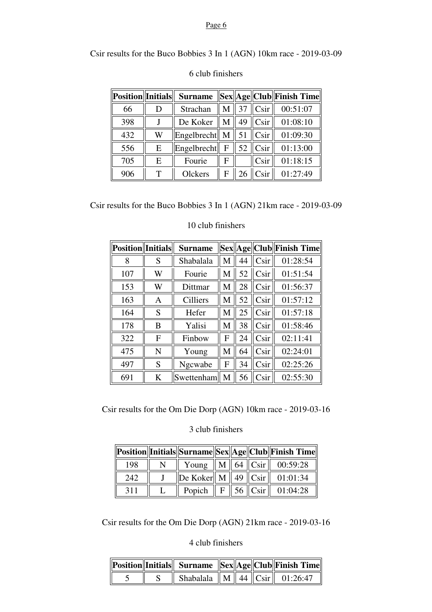#### Page 6

Csir results for the Buco Bobbies 3 In 1 (AGN) 10km race - 2019-03-09

| <b>Position</b> Initials |   | <b>Surname</b>            |   |    |                  | $\ \text{Sex}\ $ Age    Club    Finish Time |
|--------------------------|---|---------------------------|---|----|------------------|---------------------------------------------|
| 66                       |   | Strachan                  | M | 37 | Csir             | 00:51:07                                    |
| 398                      |   | De Koker                  | M | 49 | C <sub>sin</sub> | 01:08:10                                    |
| 432                      | W | Engelbrecht $\parallel$ M |   | 51 | Csir             | 01:09:30                                    |
| 556                      | E | Engelbrecht               | F | 52 | C <sub>Si</sub>  | 01:13:00                                    |
| 705                      | Е | Fourie                    | F |    | Csir             | 01:18:15                                    |
| 906                      | т | Olckers                   | F | 26 | C <sub>Si</sub>  | 01:27:49                                    |

#### 6 club finishers

Csir results for the Buco Bobbies 3 In 1 (AGN) 21km race - 2019-03-09

| <b>Position</b><br>Initials |              | <b>Surname</b>  |   |    |                 | Sex  Age  Club  Finish Time |
|-----------------------------|--------------|-----------------|---|----|-----------------|-----------------------------|
| 8                           | S            | Shabalala       | М | 44 | Csir            | 01:28:54                    |
| 107                         | W            | Fourie          | M | 52 | Csir            | 01:51:54                    |
| 153                         | W            | Dittmar         | М | 28 | Csir            | 01:56:37                    |
| 163                         | Α            | <b>Cilliers</b> | M | 52 | Csir            | 01:57:12                    |
| 164                         | S            | Hefer           | M | 25 | Csir            | 01:57:18                    |
| 178                         | B            | Yalisi          | M | 38 | Csir            | 01:58:46                    |
| 322                         | $\mathbf{F}$ | Finbow          | F | 24 | Csir            | 02:11:41                    |
| 475                         | N            | Young           | M | 64 | Csir            | 02:24:01                    |
| 497                         | S            | Ngcwabe         | F | 34 | Csir            | 02:25:26                    |
| 691                         | K            | Swettenham      | M | 56 | C <sub>Si</sub> | 02:55:30                    |

#### 10 club finishers

Csir results for the Om Die Dorp (AGN) 10km race - 2019-03-16

3 club finishers

|     |        |  |                                                           | Position  Initials  Surname  Sex  Age  Club  Finish Time |
|-----|--------|--|-----------------------------------------------------------|----------------------------------------------------------|
| 198 |        |  |                                                           | Young $\ M\ $ 64 $\ C\sin\ $ 00:59:28                    |
| 242 |        |  |                                                           | $\ $ De Koker $\ $ M $\ $ 49 $\ $ Csir $\ $ 01:01:34     |
| 311 | Popich |  | $\parallel$ F $\parallel$ 56 $\parallel$ Csir $\parallel$ | 01:04:28                                                 |

Csir results for the Om Die Dorp (AGN) 21km race - 2019-03-16

4 club finishers

|  |                                          |  | Position  Initials   Surname   Sex  Age  Club  Finish Time |
|--|------------------------------------------|--|------------------------------------------------------------|
|  | Shabalala    M    44    Csir    01:26:47 |  |                                                            |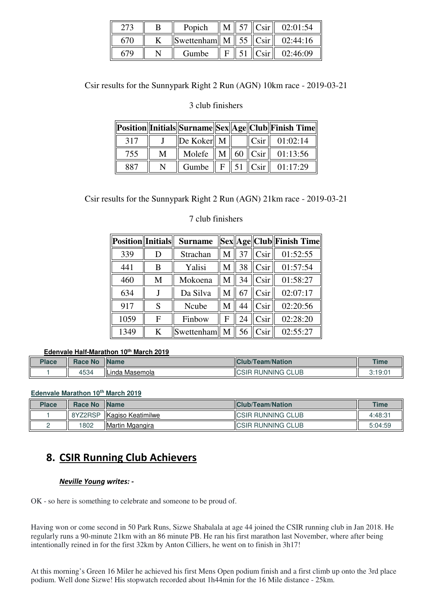|     | Popich                                      | M | $\parallel$ 57 $\parallel$ Csir $\parallel$ | 02:01:54 |
|-----|---------------------------------------------|---|---------------------------------------------|----------|
| 670 | Swettenham   M   55 $\ $ Csir $\ $ 02:44:16 |   |                                             |          |
|     | Gumbe                                       |   | $ C\sin $                                   | 02:46:09 |

Csir results for the Sunnypark Right 2 Run (AGN) 10km race - 2019-03-21

#### 3 club finishers

|     |   |                                                             |  | Position  Initials  Surname  Sex  Age  Club  Finish Time |
|-----|---|-------------------------------------------------------------|--|----------------------------------------------------------|
| 317 |   | $\left\Vert \mathbf{D}e$ Koker $\right\Vert$ M $\left\Vert$ |  | $\ $ Csir $\ $ 01:02:14                                  |
| 755 | M |                                                             |  | Molefe $\  M \ $ 60 $\ $ Csir $\ $ 01:13:56              |
| 887 |   |                                                             |  | Gumbe $\  F \  51 \  C\sin \  01:17:29$                  |

Csir results for the Sunnypark Right 2 Run (AGN) 21km race - 2019-03-21

### 7 club finishers

| <b>Position</b><br>Initials |   | <b>Surname</b> |   |    |                 | Sex  Age  Club  Finish Time |
|-----------------------------|---|----------------|---|----|-----------------|-----------------------------|
| 339                         | D | Strachan       | M | 37 | Csir            | 01:52:55                    |
| 441                         | B | Yalisi         | M | 38 | Csir            | 01:57:54                    |
| 460                         | M | Mokoena        | M | 34 | Csir            | 01:58:27                    |
| 634                         |   | Da Silva       | M |    | Csir            | 02:07:17                    |
| 917                         | S | Ncube          | M | 44 | Csir            | 02:20:56                    |
| 1059                        | F | Finbow         | F | 24 | C <sub>Si</sub> | 02:28:20                    |
| 1349                        | K | Swettenham   M |   | 56 | Csir            | 02:55:27                    |

#### **Edenvale Half-Marathon 10th March 2019**

| Place | <b>Race No</b> | <b>Name</b>               | <b>ICI</b><br>Team/Nation                                          | <b>Time</b>            |
|-------|----------------|---------------------------|--------------------------------------------------------------------|------------------------|
|       | 150A<br>+534   | <br>unda Masemola.<br>IL. | <b>CLUB</b><br>$\sim$<br><b>JNNING</b><br>- IC.<br>.<br>-<br>∍ا د. | 3.10.0<br>. ب<br>. J.U |

#### **Edenvale Marathon 10th March 2019**

| <b>Place</b> | <b>Race No</b> | <b>Name</b>             | <b>Club/Team/Nation</b>   | <b>Time</b> |
|--------------|----------------|-------------------------|---------------------------|-------------|
|              | 8YZ2RSP        | Kagiso Keatimilwe       | <b>ICSIR RUNNING CLUB</b> | 4:48:31     |
|              | 1802           | <b>IMartin Mgangira</b> | <b>ICSIR RUNNING CLUB</b> | 5:04:59     |

### **8. CSIR Running Club Achievers**

#### *Neville Young writes: -*

OK - so here is something to celebrate and someone to be proud of.

Having won or come second in 50 Park Runs, Sizwe Shabalala at age 44 joined the CSIR running club in Jan 2018. He regularly runs a 90-minute 21km with an 86 minute PB. He ran his first marathon last November, where after being intentionally reined in for the first 32km by Anton Cilliers, he went on to finish in 3h17!

At this morning's Green 16 Miler he achieved his first Mens Open podium finish and a first climb up onto the 3rd place podium. Well done Sizwe! His stopwatch recorded about 1h44min for the 16 Mile distance - 25km.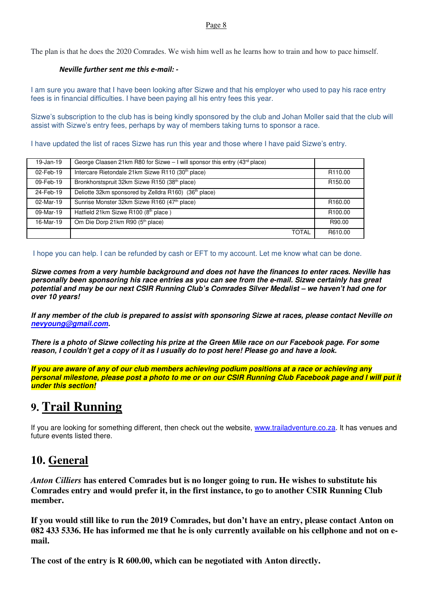#### Page 8

The plan is that he does the 2020 Comrades. We wish him well as he learns how to train and how to pace himself.

#### *Neville further sent me this e-mail: -*

I am sure you aware that I have been looking after Sizwe and that his employer who used to pay his race entry fees is in financial difficulties. I have been paying all his entry fees this year.

Sizwe's subscription to the club has is being kindly sponsored by the club and Johan Moller said that the club will assist with Sizwe's entry fees, perhaps by way of members taking turns to sponsor a race.

I have updated the list of races Sizwe has run this year and those where I have paid Sizwe's entry.

| $19$ -Jan-19 | George Claasen 21km R80 for Sizwe $-1$ will sponsor this entry (43 <sup>rd</sup> place) |                     |
|--------------|-----------------------------------------------------------------------------------------|---------------------|
| 02-Feb-19    | Intercare Rietondale 21km Sizwe R110 (30 <sup>th</sup> place)                           | R <sub>110.00</sub> |
| 09-Feb-19    | Bronkhorstspruit 32km Sizwe R150 (38th place)                                           | R <sub>150.00</sub> |
| 24-Feb-19    | Deliotte 32km sponsored by Zelldra R160) (36 <sup>th</sup> place)                       |                     |
| 02-Mar-19    | Sunrise Monster 32km Sizwe R160 (47th place)                                            | R <sub>160.00</sub> |
| 09-Mar-19    | Hatfield 21km Sizwe R100 (8th place)                                                    | R <sub>100.00</sub> |
| 16-Mar-19    | Om Die Dorp 21km R90 (5th place)                                                        | R90.00              |
|              | <b>TOTAL</b>                                                                            | R610.00             |

I hope you can help. I can be refunded by cash or EFT to my account. Let me know what can be done.

**Sizwe comes from a very humble background and does not have the finances to enter races. Neville has personally been sponsoring his race entries as you can see from the e-mail. Sizwe certainly has great potential and may be our next CSIR Running Club's Comrades Silver Medalist – we haven't had one for over 10 years!** 

**If any member of the club is prepared to assist with sponsoring Sizwe at races, please contact Neville on nevyoung@gmail.com.** 

**There is a photo of Sizwe collecting his prize at the Green Mile race on our Facebook page. For some reason, I couldn't get a copy of it as I usually do to post here! Please go and have a look.** 

**If you are aware of any of our club members achieving podium positions at a race or achieving any personal milestone, please post a photo to me or on our CSIR Running Club Facebook page and I will put it under this section!**

### **9. Trail Running**

If you are looking for something different, then check out the website, www.trailadventure.co.za. It has venues and future events listed there.

### **10. General**

*Anton Cilliers* **has entered Comrades but is no longer going to run. He wishes to substitute his Comrades entry and would prefer it, in the first instance, to go to another CSIR Running Club member.** 

**If you would still like to run the 2019 Comrades, but don't have an entry, please contact Anton on 082 433 5336. He has informed me that he is only currently available on his cellphone and not on email.** 

**The cost of the entry is R 600.00, which can be negotiated with Anton directly.**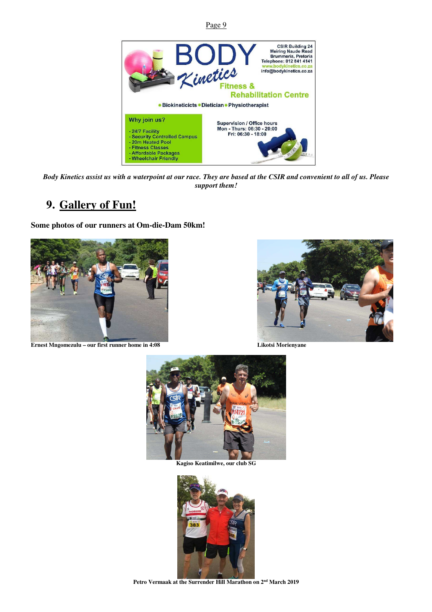

*Body Kinetics assist us with a waterpoint at our race. They are based at the CSIR and convenient to all of us. Please support them!* 

### **9. Gallery of Fun!**

**Some photos of our runners at Om-die-Dam 50km!** 



**Ernest Mngomezulu – our first runner home in 4:08 Likotsi Morienyane** 





**Kagiso Keatimilwe, our club SG** 



**Petro Vermaak at the Surrender Hill Marathon on 2nd March 2019**